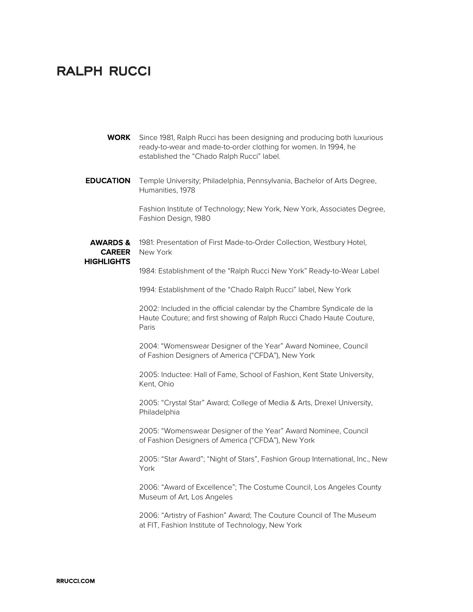## **RALPH RUCCI**

| <b>EDUCATION</b><br>Temple University; Philadelphia, Pennsylvania, Bachelor of Arts Degree,<br>Humanities, 1978<br>Fashion Institute of Technology; New York, New York, Associates Degree, |  |
|--------------------------------------------------------------------------------------------------------------------------------------------------------------------------------------------|--|
|                                                                                                                                                                                            |  |
| Fashion Design, 1980                                                                                                                                                                       |  |
| <b>AWARDS &amp;</b><br>1981: Presentation of First Made-to-Order Collection, Westbury Hotel,<br><b>CAREER</b><br>New York<br>HIGHLIGHTS                                                    |  |
| 1984: Establishment of the "Ralph Rucci New York" Ready-to-Wear Label                                                                                                                      |  |
| 1994: Establishment of the "Chado Ralph Rucci" label, New York                                                                                                                             |  |
| 2002: Included in the official calendar by the Chambre Syndicale de la<br>Haute Couture; and first showing of Ralph Rucci Chado Haute Couture,<br>Paris                                    |  |
| 2004: "Womenswear Designer of the Year" Award Nominee, Council<br>of Fashion Designers of America ("CFDA"), New York                                                                       |  |
| 2005: Inductee: Hall of Fame, School of Fashion, Kent State University,<br>Kent, Ohio                                                                                                      |  |

2005: "Crystal Star" Award; College of Media & Arts, Drexel University, Philadelphia

2005: "Womenswear Designer of the Year" Award Nominee, Council of Fashion Designers of America ("CFDA"), New York

2005: "Star Award"; "Night of Stars", Fashion Group International, Inc., New York

2006: "Award of Excellence"; The Costume Council, Los Angeles County Museum of Art, Los Angeles

2006: "Artistry of Fashion" Award; The Couture Council of The Museum at FIT, Fashion Institute of Technology, New York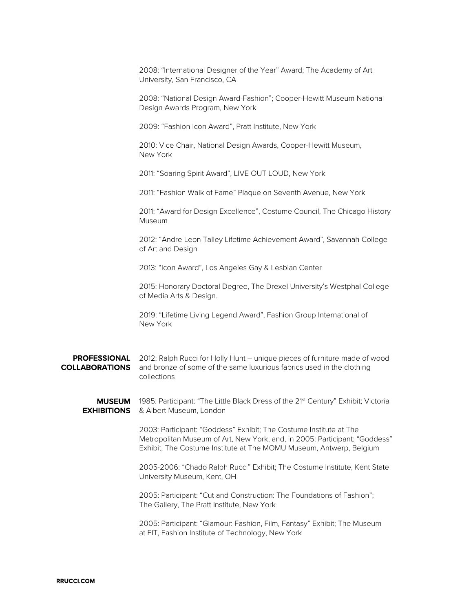2008: "International Designer of the Year" Award; The Academy of Art University, San Francisco, CA

2008: "National Design Award-Fashion"; Cooper-Hewitt Museum National Design Awards Program, New York

2009: "Fashion Icon Award", Pratt Institute, New York

2010: Vice Chair, National Design Awards, Cooper-Hewitt Museum, New York

2011: "Soaring Spirit Award", LIVE OUT LOUD, New York

2011: "Fashion Walk of Fame" Plaque on Seventh Avenue, New York

2011: "Award for Design Excellence", Costume Council, The Chicago History Museum

2012: "Andre Leon Talley Lifetime Achievement Award", Savannah College of Art and Design

2013: "Icon Award", Los Angeles Gay & Lesbian Center

2015: Honorary Doctoral Degree, The Drexel University's Westphal College of Media Arts & Design.

2019: "Lifetime Living Legend Award", Fashion Group International of New York

PROFESSIONAL 2012: Ralph Rucci for Holly Hunt – unique pieces of furniture made of wood **COLLABORATIONS** and bronze of some of the same luxurious fabrics used in the clothing collections

**MUSEUM** 1985: Participant: "The Little Black Dress of the 21<sup>st</sup> Century" Exhibit; Victoria **EXHIBITIONS** & Albert Museum, London

> 2003: Participant: "Goddess" Exhibit; The Costume Institute at The Metropolitan Museum of Art, New York; and, in 2005: Participant: "Goddess" Exhibit; The Costume Institute at The MOMU Museum, Antwerp, Belgium

> 2005-2006: "Chado Ralph Rucci" Exhibit; The Costume Institute, Kent State University Museum, Kent, OH

2005: Participant: "Cut and Construction: The Foundations of Fashion"; The Gallery, The Pratt Institute, New York

2005: Participant: "Glamour: Fashion, Film, Fantasy" Exhibit; The Museum at FIT, Fashion Institute of Technology, New York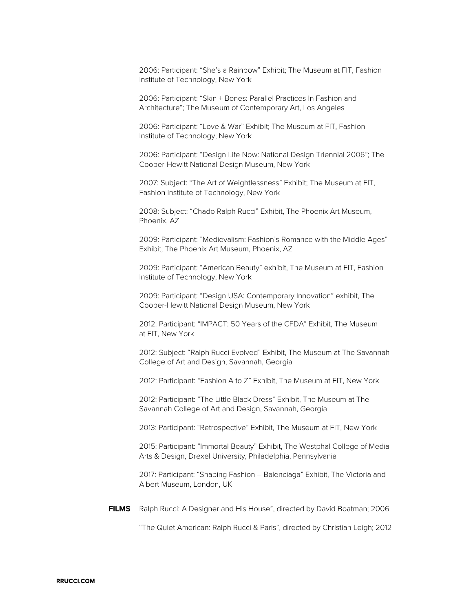2006: Participant: "She's a Rainbow" Exhibit; The Museum at FIT, Fashion Institute of Technology, New York

2006: Participant: "Skin + Bones: Parallel Practices In Fashion and Architecture"; The Museum of Contemporary Art, Los Angeles

2006: Participant: "Love & War" Exhibit; The Museum at FIT, Fashion Institute of Technology, New York

2006: Participant: "Design Life Now: National Design Triennial 2006"; The Cooper-Hewitt National Design Museum, New York

2007: Subject: "The Art of Weightlessness" Exhibit; The Museum at FIT, Fashion Institute of Technology, New York

2008: Subject: "Chado Ralph Rucci" Exhibit, The Phoenix Art Museum, Phoenix, AZ

2009: Participant: "Medievalism: Fashion's Romance with the Middle Ages" Exhibit, The Phoenix Art Museum, Phoenix, AZ

2009: Participant: "American Beauty" exhibit, The Museum at FIT, Fashion Institute of Technology, New York

2009: Participant: "Design USA: Contemporary Innovation" exhibit, The Cooper-Hewitt National Design Museum, New York

2012: Participant: "IMPACT: 50 Years of the CFDA" Exhibit, The Museum at FIT, New York

2012: Subject: "Ralph Rucci Evolved" Exhibit, The Museum at The Savannah College of Art and Design, Savannah, Georgia

2012: Participant: "Fashion A to Z" Exhibit, The Museum at FIT, New York

2012: Participant: "The Little Black Dress" Exhibit, The Museum at The Savannah College of Art and Design, Savannah, Georgia

2013: Participant: "Retrospective" Exhibit, The Museum at FIT, New York

2015: Participant: "Immortal Beauty" Exhibit, The Westphal College of Media Arts & Design, Drexel University, Philadelphia, Pennsylvania

2017: Participant: "Shaping Fashion – Balenciaga" Exhibit, The Victoria and Albert Museum, London, UK

FILMS Ralph Rucci: A Designer and His House", directed by David Boatman; 2006

"The Quiet American: Ralph Rucci & Paris", directed by Christian Leigh; 2012